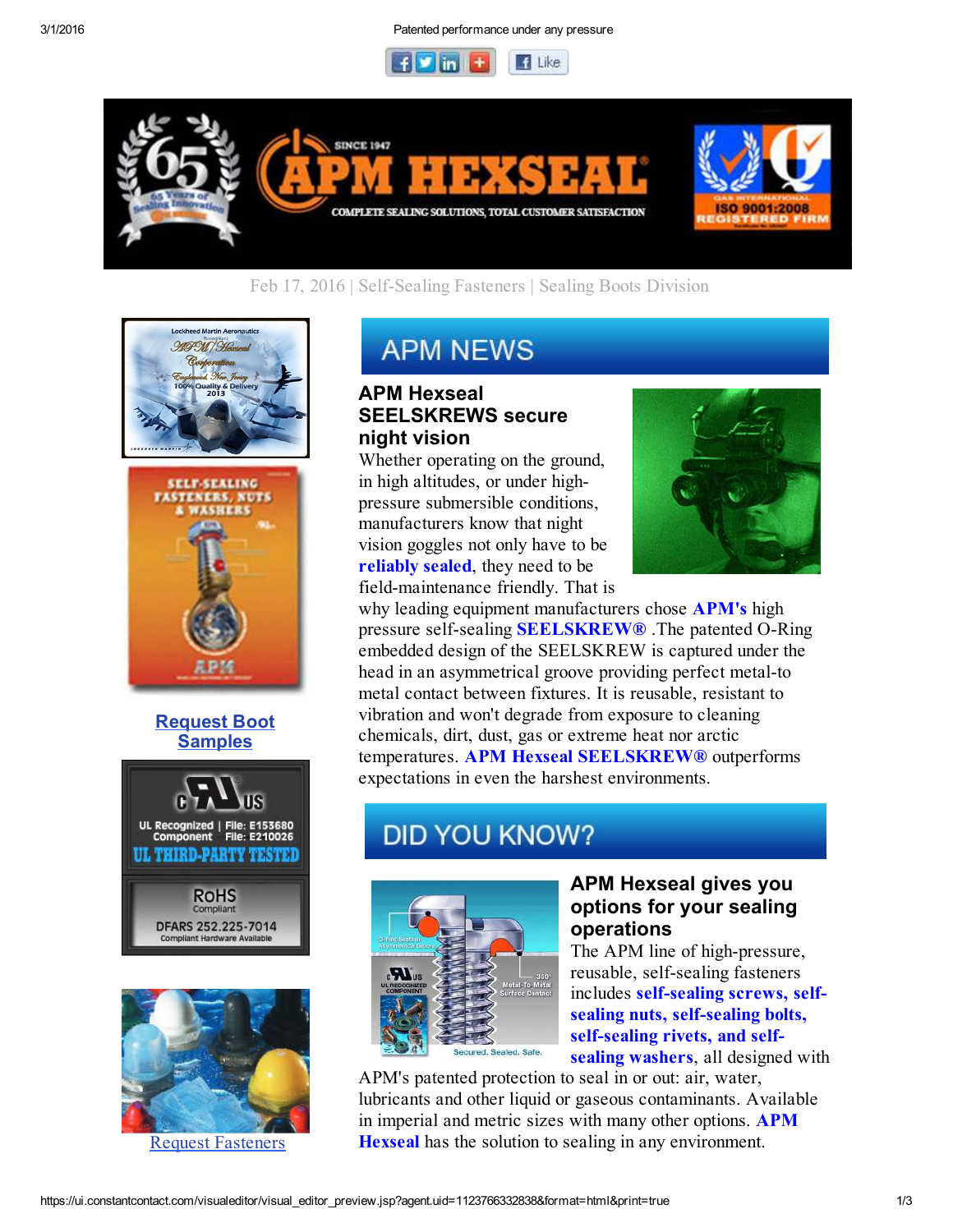



# Feb 17, 2016 | Self-Sealing Fasteners | Sealing Boots Division





### Request Boot **Samples**





Request Fasteners

# **APM NEWS**

# APM Hexseal SEELSKREWS secure night vision

Whether operating on the ground, in high altitudes, or under highpressure submersible conditions, manufacturers know that night vision goggles not only have to be reliably sealed, they need to be field-maintenance friendly. That is



why leading equipment manufacturers chose **APM's** high pressure self-sealing **SEELSKREW®** .The patented O-Ring embedded design of the SEELSKREW is captured under the head in an asymmetrical groove providing perfect metal-to metal contact between fixtures. It is reusable, resistant to vibration and won't degrade from exposure to cleaning chemicals, dirt, dust, gas or extreme heat nor arctic temperatures. APM Hexseal SEELSKREW® outperforms expectations in even the harshest environments.

# **DID YOU KNOW?**



# APM Hexseal gives you options for your sealing operations

The APM line of high-pressure, reusable, self-sealing fasteners includes self-sealing screws, selfsealing nuts, self-sealing bolts, self-sealing rivets, and selfsealing washers, all designed with

APM's patented protection to seal in or out: air, water, lubricants and other liquid or gaseous contaminants. Available in imperial and metric sizes with many other options. APM Hexseal has the solution to sealing in any environment.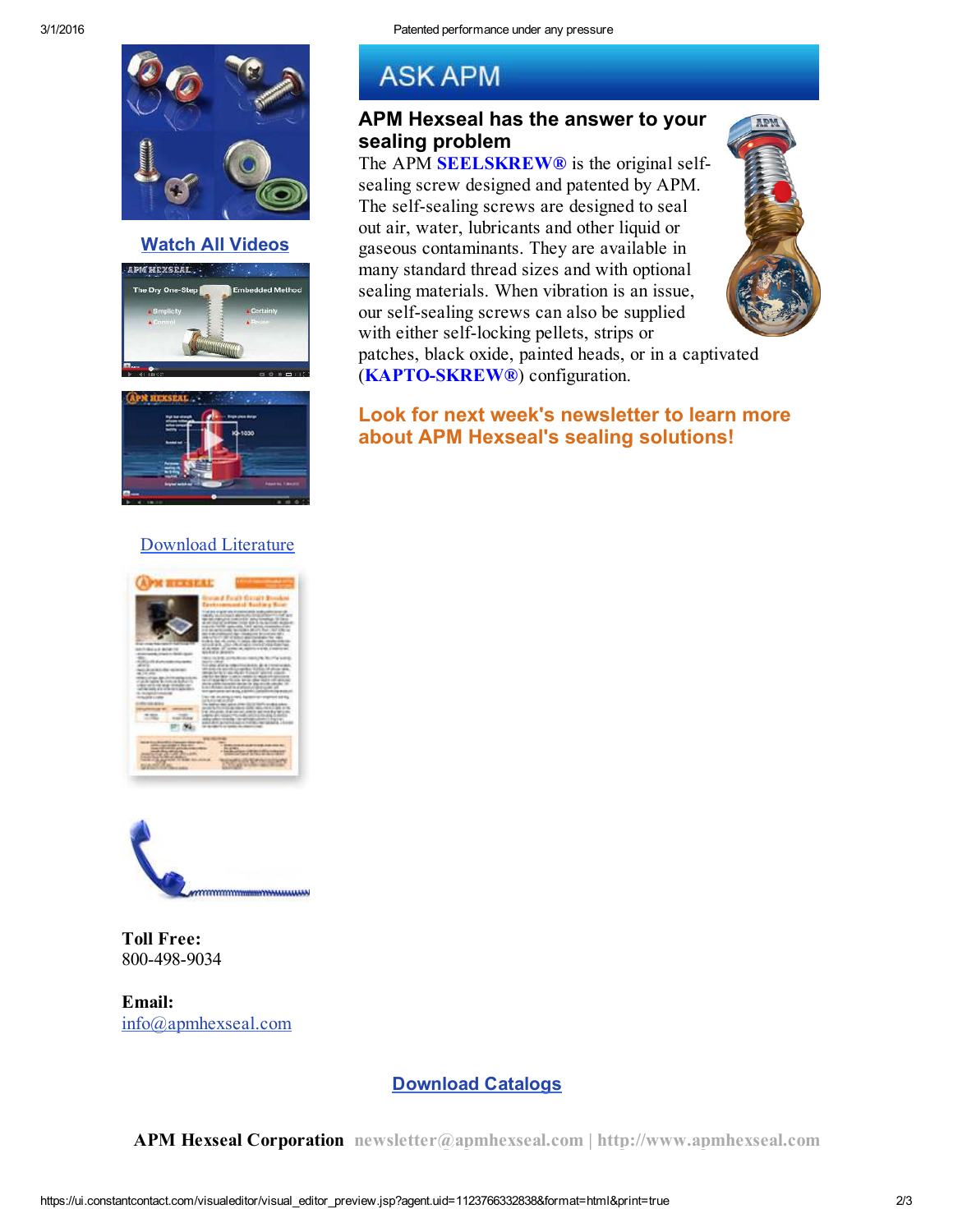sealing problem

**ASK APM** 

APM Hexseal has the answer to your

The APM **SEELSKREW®** is the original selfsealing screw designed and patented by APM. The self-sealing screws are designed to seal out air, water, lubricants and other liquid or gaseous contaminants. They are available in many standard thread sizes and with optional sealing materials. When vibration is an issue, our self-sealing screws can also be supplied with either self-locking pellets, strips or

patches, black oxide, painted heads, or in a captivated

about APM Hexseal's sealing solutions!

Look for next week's newsletter to learn more

(KAPTO-SKREW®) configuration.



#### Watch All Videos





## Download Literature





### Toll Free: 800-498-9034

Email: info@apmhexseal.com

## Download Catalogs

APM Hexseal Corporation newsletter@apmhexseal.com | http://www.apmhexseal.com